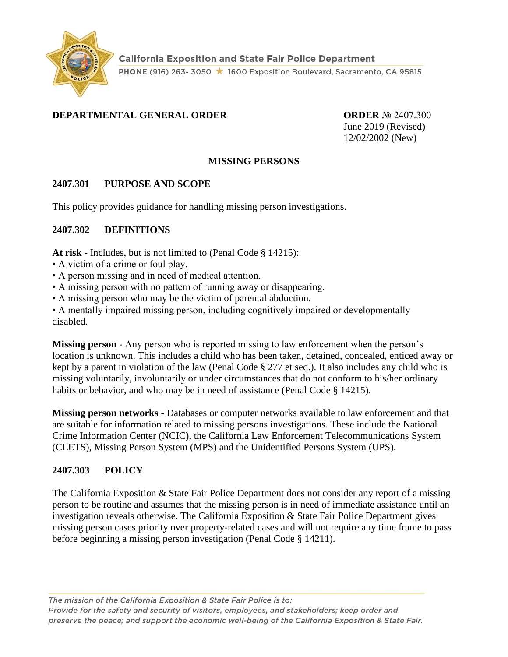

## **DEPARTMENTAL GENERAL ORDER ORDER** № 2407.300

June 2019 (Revised) 12/02/2002 (New)

### **MISSING PERSONS**

## **2407.301 PURPOSE AND SCOPE**

This policy provides guidance for handling missing person investigations.

### **2407.302 DEFINITIONS**

**At risk** - Includes, but is not limited to (Penal Code § 14215):

- A victim of a crime or foul play.
- A person missing and in need of medical attention.
- A missing person with no pattern of running away or disappearing.
- A missing person who may be the victim of parental abduction.

• A mentally impaired missing person, including cognitively impaired or developmentally disabled.

**Missing person** - Any person who is reported missing to law enforcement when the person's location is unknown. This includes a child who has been taken, detained, concealed, enticed away or kept by a parent in violation of the law (Penal Code § 277 et seq.). It also includes any child who is missing voluntarily, involuntarily or under circumstances that do not conform to his/her ordinary habits or behavior, and who may be in need of assistance (Penal Code § 14215).

**Missing person networks** - Databases or computer networks available to law enforcement and that are suitable for information related to missing persons investigations. These include the National Crime Information Center (NCIC), the California Law Enforcement Telecommunications System (CLETS), Missing Person System (MPS) and the Unidentified Persons System (UPS).

## **2407.303 POLICY**

The California Exposition & State Fair Police Department does not consider any report of a missing person to be routine and assumes that the missing person is in need of immediate assistance until an investigation reveals otherwise. The California Exposition & State Fair Police Department gives missing person cases priority over property-related cases and will not require any time frame to pass before beginning a missing person investigation (Penal Code § 14211).

The mission of the California Exposition & State Fair Police is to: Provide for the safety and security of visitors, employees, and stakeholders; keep order and preserve the peace; and support the economic well-being of the California Exposition & State Fair.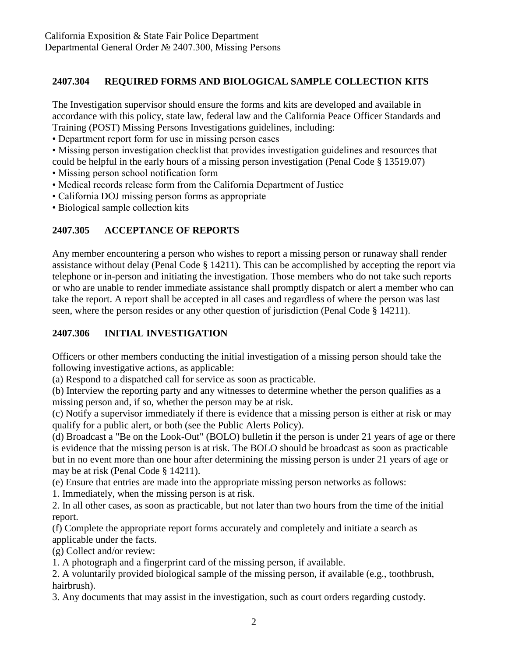## **2407.304 REQUIRED FORMS AND BIOLOGICAL SAMPLE COLLECTION KITS**

The Investigation supervisor should ensure the forms and kits are developed and available in accordance with this policy, state law, federal law and the California Peace Officer Standards and Training (POST) Missing Persons Investigations guidelines, including:

- Department report form for use in missing person cases
- Missing person investigation checklist that provides investigation guidelines and resources that
- could be helpful in the early hours of a missing person investigation (Penal Code § 13519.07)
- Missing person school notification form
- Medical records release form from the California Department of Justice
- California DOJ missing person forms as appropriate
- Biological sample collection kits

# **2407.305 ACCEPTANCE OF REPORTS**

Any member encountering a person who wishes to report a missing person or runaway shall render assistance without delay (Penal Code § 14211). This can be accomplished by accepting the report via telephone or in-person and initiating the investigation. Those members who do not take such reports or who are unable to render immediate assistance shall promptly dispatch or alert a member who can take the report. A report shall be accepted in all cases and regardless of where the person was last seen, where the person resides or any other question of jurisdiction (Penal Code § 14211).

## **2407.306 INITIAL INVESTIGATION**

Officers or other members conducting the initial investigation of a missing person should take the following investigative actions, as applicable:

(a) Respond to a dispatched call for service as soon as practicable.

(b) Interview the reporting party and any witnesses to determine whether the person qualifies as a missing person and, if so, whether the person may be at risk.

(c) Notify a supervisor immediately if there is evidence that a missing person is either at risk or may qualify for a public alert, or both (see the Public Alerts Policy).

(d) Broadcast a "Be on the Look-Out" (BOLO) bulletin if the person is under 21 years of age or there is evidence that the missing person is at risk. The BOLO should be broadcast as soon as practicable but in no event more than one hour after determining the missing person is under 21 years of age or may be at risk (Penal Code § 14211).

(e) Ensure that entries are made into the appropriate missing person networks as follows:

1. Immediately, when the missing person is at risk.

2. In all other cases, as soon as practicable, but not later than two hours from the time of the initial report.

(f) Complete the appropriate report forms accurately and completely and initiate a search as applicable under the facts.

(g) Collect and/or review:

1. A photograph and a fingerprint card of the missing person, if available.

2. A voluntarily provided biological sample of the missing person, if available (e.g., toothbrush, hairbrush).

3. Any documents that may assist in the investigation, such as court orders regarding custody.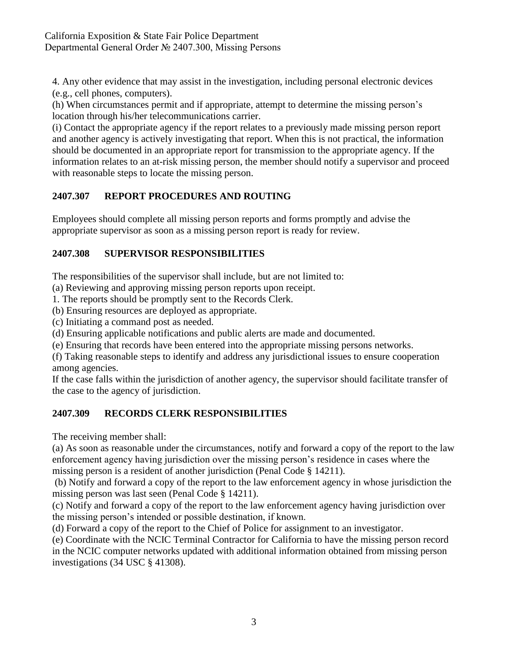4. Any other evidence that may assist in the investigation, including personal electronic devices (e.g., cell phones, computers).

(h) When circumstances permit and if appropriate, attempt to determine the missing person's location through his/her telecommunications carrier.

(i) Contact the appropriate agency if the report relates to a previously made missing person report and another agency is actively investigating that report. When this is not practical, the information should be documented in an appropriate report for transmission to the appropriate agency. If the information relates to an at-risk missing person, the member should notify a supervisor and proceed with reasonable steps to locate the missing person.

# **2407.307 REPORT PROCEDURES AND ROUTING**

Employees should complete all missing person reports and forms promptly and advise the appropriate supervisor as soon as a missing person report is ready for review.

# **2407.308 SUPERVISOR RESPONSIBILITIES**

The responsibilities of the supervisor shall include, but are not limited to:

(a) Reviewing and approving missing person reports upon receipt.

1. The reports should be promptly sent to the Records Clerk.

(b) Ensuring resources are deployed as appropriate.

(c) Initiating a command post as needed.

(d) Ensuring applicable notifications and public alerts are made and documented.

(e) Ensuring that records have been entered into the appropriate missing persons networks.

(f) Taking reasonable steps to identify and address any jurisdictional issues to ensure cooperation among agencies.

If the case falls within the jurisdiction of another agency, the supervisor should facilitate transfer of the case to the agency of jurisdiction.

# **2407.309 RECORDS CLERK RESPONSIBILITIES**

The receiving member shall:

(a) As soon as reasonable under the circumstances, notify and forward a copy of the report to the law enforcement agency having jurisdiction over the missing person's residence in cases where the missing person is a resident of another jurisdiction (Penal Code § 14211).

(b) Notify and forward a copy of the report to the law enforcement agency in whose jurisdiction the missing person was last seen (Penal Code § 14211).

(c) Notify and forward a copy of the report to the law enforcement agency having jurisdiction over the missing person's intended or possible destination, if known.

(d) Forward a copy of the report to the Chief of Police for assignment to an investigator.

(e) Coordinate with the NCIC Terminal Contractor for California to have the missing person record in the NCIC computer networks updated with additional information obtained from missing person investigations (34 USC § 41308).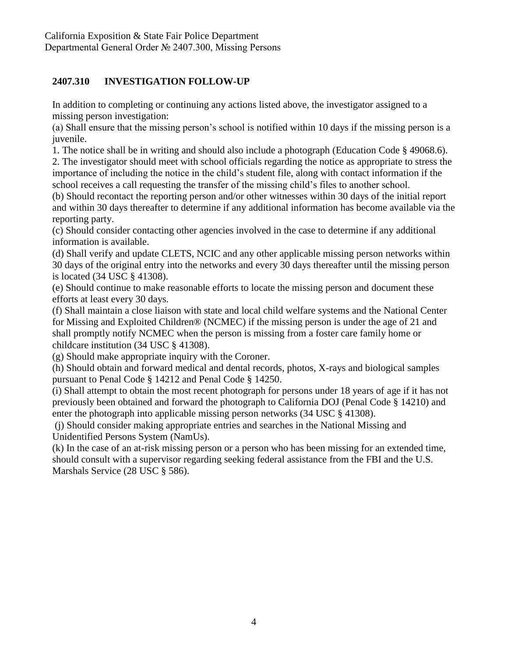## **2407.310 INVESTIGATION FOLLOW-UP**

In addition to completing or continuing any actions listed above, the investigator assigned to a missing person investigation:

(a) Shall ensure that the missing person's school is notified within 10 days if the missing person is a juvenile.

1. The notice shall be in writing and should also include a photograph (Education Code § 49068.6).

2. The investigator should meet with school officials regarding the notice as appropriate to stress the importance of including the notice in the child's student file, along with contact information if the school receives a call requesting the transfer of the missing child's files to another school.

(b) Should recontact the reporting person and/or other witnesses within 30 days of the initial report and within 30 days thereafter to determine if any additional information has become available via the reporting party.

(c) Should consider contacting other agencies involved in the case to determine if any additional information is available.

(d) Shall verify and update CLETS, NCIC and any other applicable missing person networks within 30 days of the original entry into the networks and every 30 days thereafter until the missing person is located (34 USC § 41308).

(e) Should continue to make reasonable efforts to locate the missing person and document these efforts at least every 30 days.

(f) Shall maintain a close liaison with state and local child welfare systems and the National Center for Missing and Exploited Children® (NCMEC) if the missing person is under the age of 21 and shall promptly notify NCMEC when the person is missing from a foster care family home or childcare institution (34 USC § 41308).

(g) Should make appropriate inquiry with the Coroner.

(h) Should obtain and forward medical and dental records, photos, X-rays and biological samples pursuant to Penal Code § 14212 and Penal Code § 14250.

(i) Shall attempt to obtain the most recent photograph for persons under 18 years of age if it has not previously been obtained and forward the photograph to California DOJ (Penal Code § 14210) and enter the photograph into applicable missing person networks (34 USC § 41308).

(j) Should consider making appropriate entries and searches in the National Missing and Unidentified Persons System (NamUs).

(k) In the case of an at-risk missing person or a person who has been missing for an extended time, should consult with a supervisor regarding seeking federal assistance from the FBI and the U.S. Marshals Service (28 USC § 586).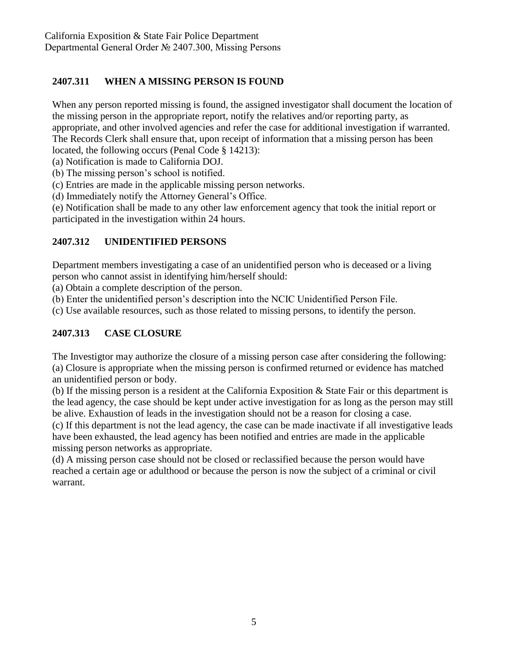# **2407.311 WHEN A MISSING PERSON IS FOUND**

When any person reported missing is found, the assigned investigator shall document the location of the missing person in the appropriate report, notify the relatives and/or reporting party, as appropriate, and other involved agencies and refer the case for additional investigation if warranted. The Records Clerk shall ensure that, upon receipt of information that a missing person has been located, the following occurs (Penal Code § 14213):

(a) Notification is made to California DOJ.

(b) The missing person's school is notified.

(c) Entries are made in the applicable missing person networks.

(d) Immediately notify the Attorney General's Office.

(e) Notification shall be made to any other law enforcement agency that took the initial report or participated in the investigation within 24 hours.

## **2407.312 UNIDENTIFIED PERSONS**

Department members investigating a case of an unidentified person who is deceased or a living person who cannot assist in identifying him/herself should:

(a) Obtain a complete description of the person.

(b) Enter the unidentified person's description into the NCIC Unidentified Person File.

(c) Use available resources, such as those related to missing persons, to identify the person.

# **2407.313 CASE CLOSURE**

The Investigtor may authorize the closure of a missing person case after considering the following: (a) Closure is appropriate when the missing person is confirmed returned or evidence has matched an unidentified person or body.

(b) If the missing person is a resident at the California Exposition & State Fair or this department is the lead agency, the case should be kept under active investigation for as long as the person may still be alive. Exhaustion of leads in the investigation should not be a reason for closing a case.

(c) If this department is not the lead agency, the case can be made inactivate if all investigative leads have been exhausted, the lead agency has been notified and entries are made in the applicable missing person networks as appropriate.

(d) A missing person case should not be closed or reclassified because the person would have reached a certain age or adulthood or because the person is now the subject of a criminal or civil warrant.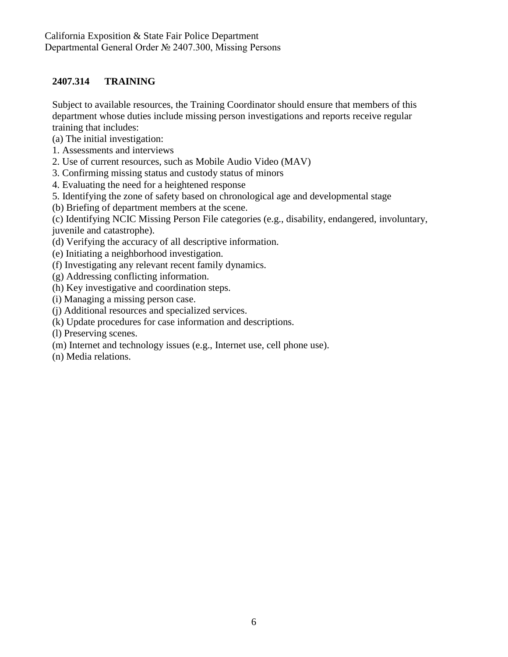## **2407.314 TRAINING**

Subject to available resources, the Training Coordinator should ensure that members of this department whose duties include missing person investigations and reports receive regular training that includes:

(a) The initial investigation:

- 1. Assessments and interviews
- 2. Use of current resources, such as Mobile Audio Video (MAV)
- 3. Confirming missing status and custody status of minors
- 4. Evaluating the need for a heightened response
- 5. Identifying the zone of safety based on chronological age and developmental stage
- (b) Briefing of department members at the scene.
- (c) Identifying NCIC Missing Person File categories (e.g., disability, endangered, involuntary,

juvenile and catastrophe).

- (d) Verifying the accuracy of all descriptive information.
- (e) Initiating a neighborhood investigation.
- (f) Investigating any relevant recent family dynamics.
- (g) Addressing conflicting information.
- (h) Key investigative and coordination steps.
- (i) Managing a missing person case.
- (j) Additional resources and specialized services.
- (k) Update procedures for case information and descriptions.
- (l) Preserving scenes.
- (m) Internet and technology issues (e.g., Internet use, cell phone use).
- (n) Media relations.